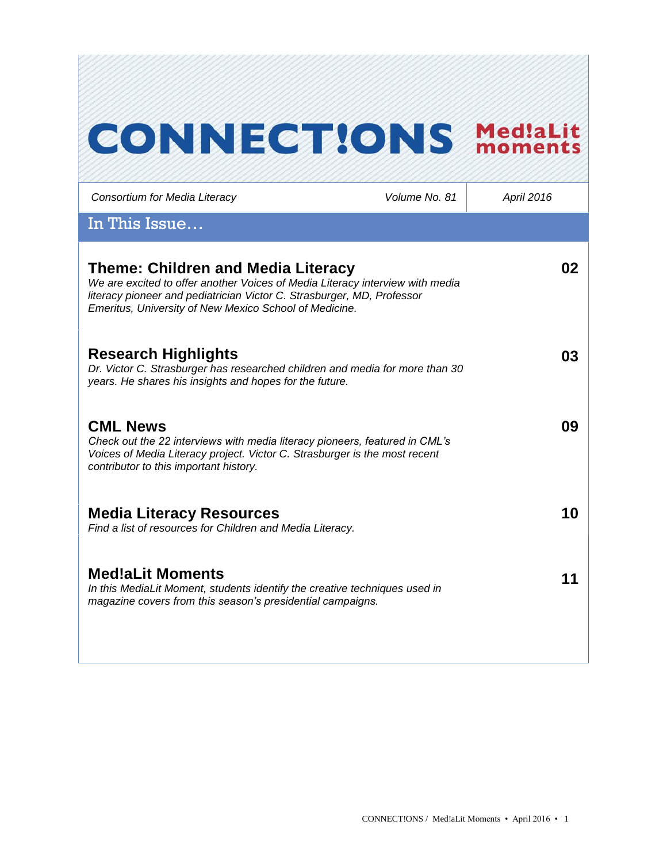# **CONNECT!ONS MediaLit**

*Consortium for Media Literacy Volume No. 81 April 2016* In This Issue… **Theme: Children and Media Literacy** *We are excited to offer another Voices of Media Literacy interview with media literacy pioneer and pediatrician Victor C. Strasburger, MD, Professor Emeritus, University of New Mexico School of Medicine.* **02 Research Highlights** *Dr. Victor C. Strasburger has researched children and media for more than 30 years. He shares his insights and hopes for the future.*  **03 CML News**  *Check out the 22 interviews with media literacy pioneers, featured in CML's Voices of Media Literacy project. Victor C. Strasburger is the most recent contributor to this important history.* **09 Media Literacy Resources** *Find a list of resources for Children and Media Literacy.* **10 Med!aLit Moments** *In this MediaLit Moment, students identify the creative techniques used in magazine covers from this season's presidential campaigns.* **11**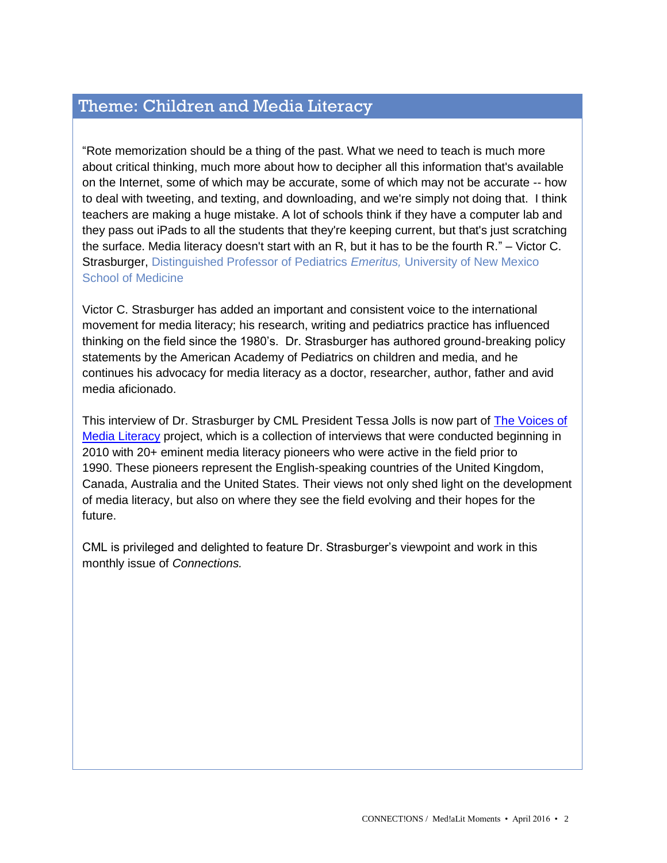## Theme: Children and Media Literacy

"Rote memorization should be a thing of the past. What we need to teach is much more about critical thinking, much more about how to decipher all this information that's available on the Internet, some of which may be accurate, some of which may not be accurate -- how to deal with tweeting, and texting, and downloading, and we're simply not doing that. I think teachers are making a huge mistake. A lot of schools think if they have a computer lab and they pass out iPads to all the students that they're keeping current, but that's just scratching the surface. Media literacy doesn't start with an R, but it has to be the fourth R." – Victor C. Strasburger, Distinguished Professor of Pediatrics *Emeritus,* University of New Mexico School of Medicine

Victor C. Strasburger has added an important and consistent voice to the international movement for media literacy; his research, writing and pediatrics practice has influenced thinking on the field since the 1980's. Dr. Strasburger has authored ground-breaking policy statements by the American Academy of Pediatrics on children and media, and he continues his advocacy for media literacy as a doctor, researcher, author, father and avid media aficionado.

This interview of Dr. Strasburger by CML President Tessa Jolls is now part of [The Voices of](http://www.medialit.org/voices-media-literacy-international-pioneers-speak)  [Media Literacy](http://www.medialit.org/voices-media-literacy-international-pioneers-speak) project, which is a collection of interviews that were conducted beginning in 2010 with 20+ eminent media literacy pioneers who were active in the field prior to 1990. These pioneers represent the English-speaking countries of the United Kingdom, Canada, Australia and the United States. Their views not only shed light on the development of media literacy, but also on where they see the field evolving and their hopes for the future.

CML is privileged and delighted to feature Dr. Strasburger's viewpoint and work in this monthly issue of *Connections.*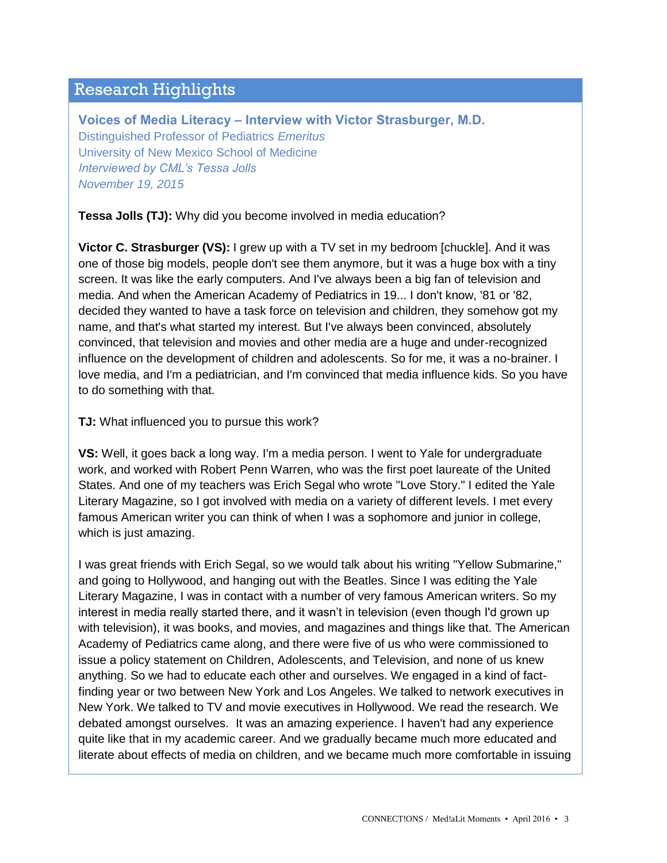## Research Highlights

**Voices of Media Literacy – Interview with Victor Strasburger, M.D.** Distinguished Professor of Pediatrics *Emeritus* University of New Mexico School of Medicine *Interviewed by CML's Tessa Jolls November 19, 2015*

**Tessa Jolls (TJ):** Why did you become involved in media education?

**Victor C. Strasburger (VS):** I grew up with a TV set in my bedroom [chuckle]. And it was one of those big models, people don't see them anymore, but it was a huge box with a tiny screen. It was like the early computers. And I've always been a big fan of television and media. And when the American Academy of Pediatrics in 19... I don't know, '81 or '82, decided they wanted to have a task force on television and children, they somehow got my name, and that's what started my interest. But I've always been convinced, absolutely convinced, that television and movies and other media are a huge and under-recognized influence on the development of children and adolescents. So for me, it was a no-brainer. I love media, and I'm a pediatrician, and I'm convinced that media influence kids. So you have to do something with that.

#### **TJ:** What influenced you to pursue this work?

**VS:** Well, it goes back a long way. I'm a media person. I went to Yale for undergraduate work, and worked with Robert Penn Warren, who was the first poet laureate of the United States. And one of my teachers was Erich Segal who wrote "Love Story." I edited the Yale Literary Magazine, so I got involved with media on a variety of different levels. I met every famous American writer you can think of when I was a sophomore and junior in college, which is just amazing.

I was great friends with Erich Segal, so we would talk about his writing "Yellow Submarine," and going to Hollywood, and hanging out with the Beatles. Since I was editing the Yale Literary Magazine, I was in contact with a number of very famous American writers. So my interest in media really started there, and it wasn't in television (even though I'd grown up with television), it was books, and movies, and magazines and things like that. The American Academy of Pediatrics came along, and there were five of us who were commissioned to issue a policy statement on Children, Adolescents, and Television, and none of us knew anything. So we had to educate each other and ourselves. We engaged in a kind of factfinding year or two between New York and Los Angeles. We talked to network executives in New York. We talked to TV and movie executives in Hollywood. We read the research. We debated amongst ourselves. It was an amazing experience. I haven't had any experience quite like that in my academic career. And we gradually became much more educated and literate about effects of media on children, and we became much more comfortable in issuing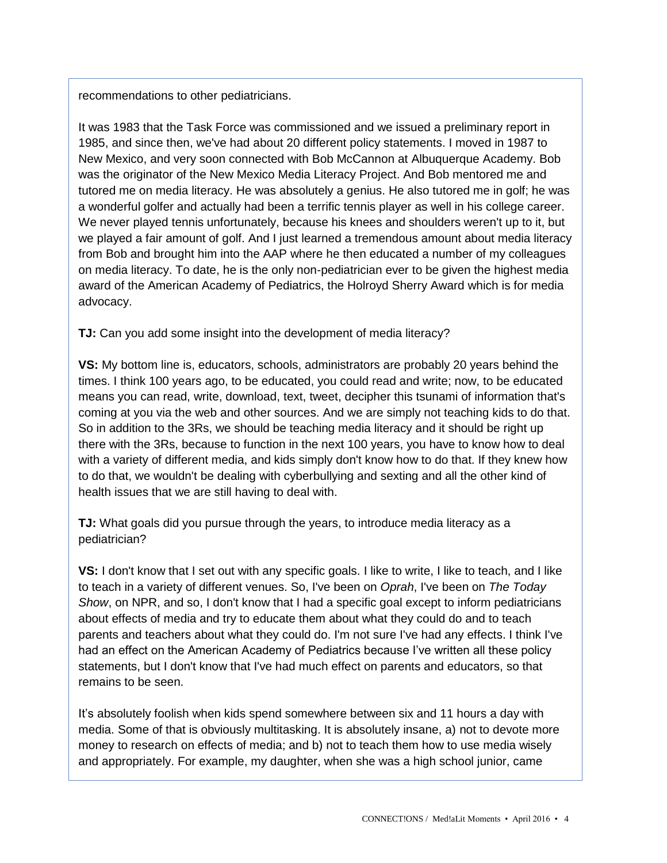recommendations to other pediatricians.

It was 1983 that the Task Force was commissioned and we issued a preliminary report in 1985, and since then, we've had about 20 different policy statements. I moved in 1987 to New Mexico, and very soon connected with Bob McCannon at Albuquerque Academy. Bob was the originator of the New Mexico Media Literacy Project. And Bob mentored me and tutored me on media literacy. He was absolutely a genius. He also tutored me in golf; he was a wonderful golfer and actually had been a terrific tennis player as well in his college career. We never played tennis unfortunately, because his knees and shoulders weren't up to it, but we played a fair amount of golf. And I just learned a tremendous amount about media literacy from Bob and brought him into the AAP where he then educated a number of my colleagues on media literacy. To date, he is the only non-pediatrician ever to be given the highest media award of the American Academy of Pediatrics, the Holroyd Sherry Award which is for media advocacy.

**TJ:** Can you add some insight into the development of media literacy?

**VS:** My bottom line is, educators, schools, administrators are probably 20 years behind the times. I think 100 years ago, to be educated, you could read and write; now, to be educated means you can read, write, download, text, tweet, decipher this tsunami of information that's coming at you via the web and other sources. And we are simply not teaching kids to do that. So in addition to the 3Rs, we should be teaching media literacy and it should be right up there with the 3Rs, because to function in the next 100 years, you have to know how to deal with a variety of different media, and kids simply don't know how to do that. If they knew how to do that, we wouldn't be dealing with cyberbullying and sexting and all the other kind of health issues that we are still having to deal with.

**TJ:** What goals did you pursue through the years, to introduce media literacy as a pediatrician?

**VS:** I don't know that I set out with any specific goals. I like to write, I like to teach, and I like to teach in a variety of different venues. So, I've been on *Oprah*, I've been on *The Today Show*, on NPR, and so, I don't know that I had a specific goal except to inform pediatricians about effects of media and try to educate them about what they could do and to teach parents and teachers about what they could do. I'm not sure I've had any effects. I think I've had an effect on the American Academy of Pediatrics because I've written all these policy statements, but I don't know that I've had much effect on parents and educators, so that remains to be seen.

It's absolutely foolish when kids spend somewhere between six and 11 hours a day with media. Some of that is obviously multitasking. It is absolutely insane, a) not to devote more money to research on effects of media; and b) not to teach them how to use media wisely and appropriately. For example, my daughter, when she was a high school junior, came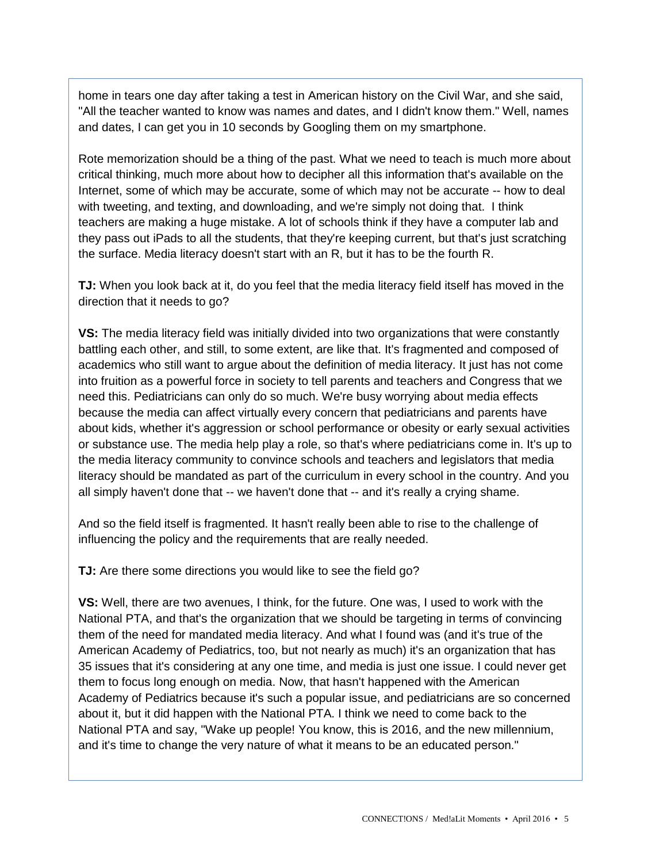home in tears one day after taking a test in American history on the Civil War, and she said, "All the teacher wanted to know was names and dates, and I didn't know them." Well, names and dates, I can get you in 10 seconds by Googling them on my smartphone.

Rote memorization should be a thing of the past. What we need to teach is much more about critical thinking, much more about how to decipher all this information that's available on the Internet, some of which may be accurate, some of which may not be accurate -- how to deal with tweeting, and texting, and downloading, and we're simply not doing that. I think teachers are making a huge mistake. A lot of schools think if they have a computer lab and they pass out iPads to all the students, that they're keeping current, but that's just scratching the surface. Media literacy doesn't start with an R, but it has to be the fourth R.

**TJ:** When you look back at it, do you feel that the media literacy field itself has moved in the direction that it needs to go?

**VS:** The media literacy field was initially divided into two organizations that were constantly battling each other, and still, to some extent, are like that. It's fragmented and composed of academics who still want to argue about the definition of media literacy. It just has not come into fruition as a powerful force in society to tell parents and teachers and Congress that we need this. Pediatricians can only do so much. We're busy worrying about media effects because the media can affect virtually every concern that pediatricians and parents have about kids, whether it's aggression or school performance or obesity or early sexual activities or substance use. The media help play a role, so that's where pediatricians come in. It's up to the media literacy community to convince schools and teachers and legislators that media literacy should be mandated as part of the curriculum in every school in the country. And you all simply haven't done that -- we haven't done that -- and it's really a crying shame.

And so the field itself is fragmented. It hasn't really been able to rise to the challenge of influencing the policy and the requirements that are really needed.

**TJ:** Are there some directions you would like to see the field go?

**VS:** Well, there are two avenues, I think, for the future. One was, I used to work with the National PTA, and that's the organization that we should be targeting in terms of convincing them of the need for mandated media literacy. And what I found was (and it's true of the American Academy of Pediatrics, too, but not nearly as much) it's an organization that has 35 issues that it's considering at any one time, and media is just one issue. I could never get them to focus long enough on media. Now, that hasn't happened with the American Academy of Pediatrics because it's such a popular issue, and pediatricians are so concerned about it, but it did happen with the National PTA. I think we need to come back to the National PTA and say, "Wake up people! You know, this is 2016, and the new millennium, and it's time to change the very nature of what it means to be an educated person."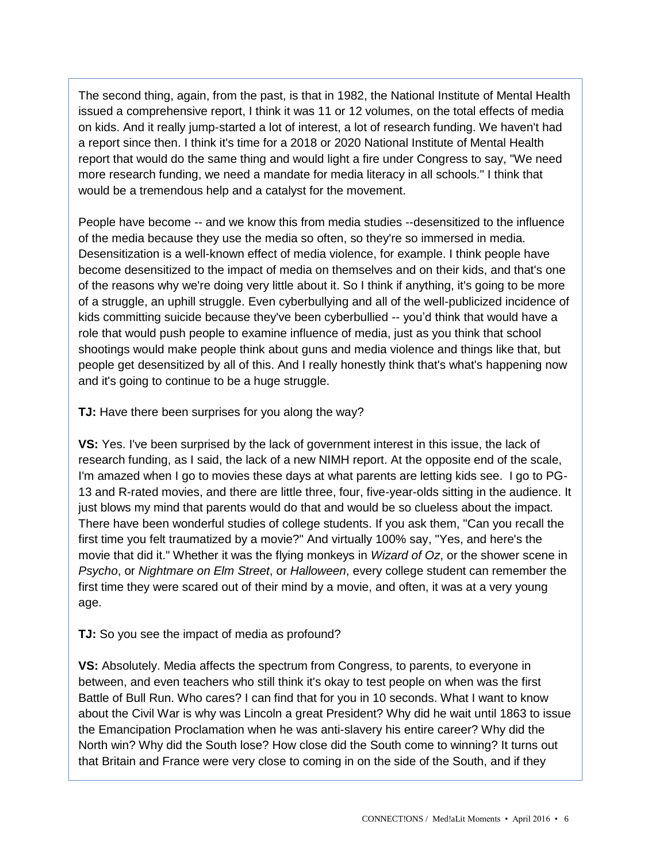The second thing, again, from the past, is that in 1982, the National Institute of Mental Health issued a comprehensive report, I think it was 11 or 12 volumes, on the total effects of media on kids. And it really jump-started a lot of interest, a lot of research funding. We haven't had a report since then. I think it's time for a 2018 or 2020 National Institute of Mental Health report that would do the same thing and would light a fire under Congress to say, "We need more research funding, we need a mandate for media literacy in all schools." I think that would be a tremendous help and a catalyst for the movement.

People have become -- and we know this from media studies --desensitized to the influence of the media because they use the media so often, so they're so immersed in media. Desensitization is a well-known effect of media violence, for example. I think people have become desensitized to the impact of media on themselves and on their kids, and that's one of the reasons why we're doing very little about it. So I think if anything, it's going to be more of a struggle, an uphill struggle. Even cyberbullying and all of the well-publicized incidence of kids committing suicide because they've been cyberbullied -- you'd think that would have a role that would push people to examine influence of media, just as you think that school shootings would make people think about guns and media violence and things like that, but people get desensitized by all of this. And I really honestly think that's what's happening now and it's going to continue to be a huge struggle.

**TJ:** Have there been surprises for you along the way?

**VS:** Yes. I've been surprised by the lack of government interest in this issue, the lack of research funding, as I said, the lack of a new NIMH report. At the opposite end of the scale, I'm amazed when I go to movies these days at what parents are letting kids see. I go to PG-13 and R-rated movies, and there are little three, four, five-year-olds sitting in the audience. It just blows my mind that parents would do that and would be so clueless about the impact. There have been wonderful studies of college students. If you ask them, "Can you recall the first time you felt traumatized by a movie?" And virtually 100% say, "Yes, and here's the movie that did it." Whether it was the flying monkeys in *Wizard of Oz*, or the shower scene in *Psycho*, or *Nightmare on Elm Street*, or *Halloween*, every college student can remember the first time they were scared out of their mind by a movie, and often, it was at a very young age.

#### **TJ:** So you see the impact of media as profound?

**VS:** Absolutely. Media affects the spectrum from Congress, to parents, to everyone in between, and even teachers who still think it's okay to test people on when was the first Battle of Bull Run. Who cares? I can find that for you in 10 seconds. What I want to know about the Civil War is why was Lincoln a great President? Why did he wait until 1863 to issue the Emancipation Proclamation when he was anti-slavery his entire career? Why did the North win? Why did the South lose? How close did the South come to winning? It turns out that Britain and France were very close to coming in on the side of the South, and if they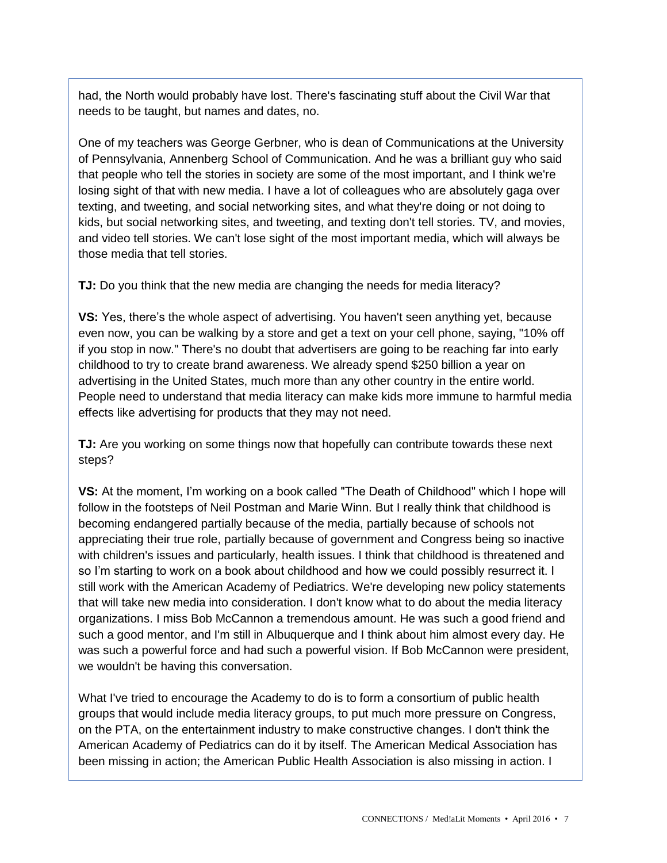had, the North would probably have lost. There's fascinating stuff about the Civil War that needs to be taught, but names and dates, no.

One of my teachers was George Gerbner, who is dean of Communications at the University of Pennsylvania, Annenberg School of Communication. And he was a brilliant guy who said that people who tell the stories in society are some of the most important, and I think we're losing sight of that with new media. I have a lot of colleagues who are absolutely gaga over texting, and tweeting, and social networking sites, and what they're doing or not doing to kids, but social networking sites, and tweeting, and texting don't tell stories. TV, and movies, and video tell stories. We can't lose sight of the most important media, which will always be those media that tell stories.

**TJ:** Do you think that the new media are changing the needs for media literacy?

**VS:** Yes, there's the whole aspect of advertising. You haven't seen anything yet, because even now, you can be walking by a store and get a text on your cell phone, saying, "10% off if you stop in now." There's no doubt that advertisers are going to be reaching far into early childhood to try to create brand awareness. We already spend \$250 billion a year on advertising in the United States, much more than any other country in the entire world. People need to understand that media literacy can make kids more immune to harmful media effects like advertising for products that they may not need.

**TJ:** Are you working on some things now that hopefully can contribute towards these next steps?

**VS:** At the moment, I'm working on a book called "The Death of Childhood" which I hope will follow in the footsteps of Neil Postman and Marie Winn. But I really think that childhood is becoming endangered partially because of the media, partially because of schools not appreciating their true role, partially because of government and Congress being so inactive with children's issues and particularly, health issues. I think that childhood is threatened and so I'm starting to work on a book about childhood and how we could possibly resurrect it. I still work with the American Academy of Pediatrics. We're developing new policy statements that will take new media into consideration. I don't know what to do about the media literacy organizations. I miss Bob McCannon a tremendous amount. He was such a good friend and such a good mentor, and I'm still in Albuquerque and I think about him almost every day. He was such a powerful force and had such a powerful vision. If Bob McCannon were president, we wouldn't be having this conversation.

What I've tried to encourage the Academy to do is to form a consortium of public health groups that would include media literacy groups, to put much more pressure on Congress, on the PTA, on the entertainment industry to make constructive changes. I don't think the American Academy of Pediatrics can do it by itself. The American Medical Association has been missing in action; the American Public Health Association is also missing in action. I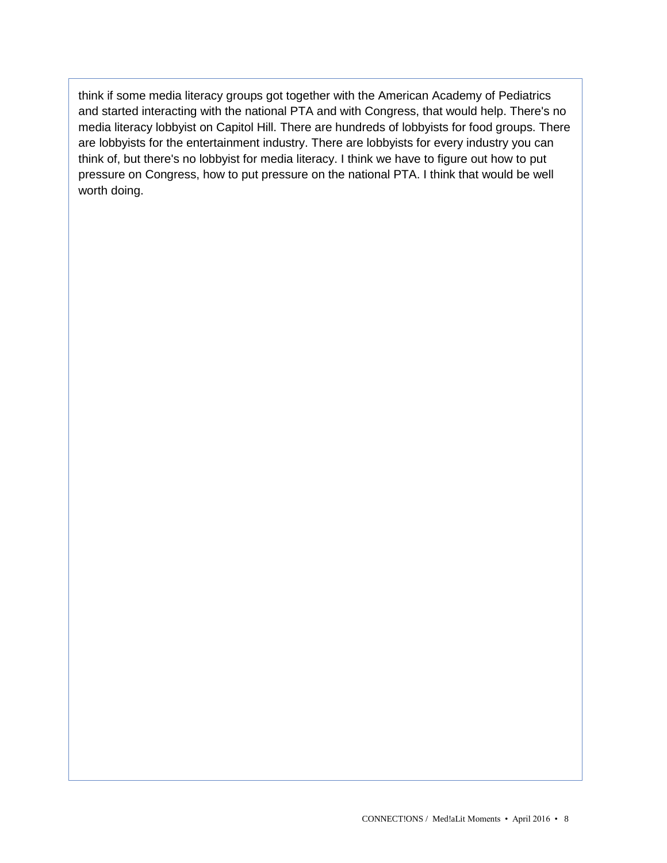think if some media literacy groups got together with the American Academy of Pediatrics and started interacting with the national PTA and with Congress, that would help. There's no media literacy lobbyist on Capitol Hill. There are hundreds of lobbyists for food groups. There are lobbyists for the entertainment industry. There are lobbyists for every industry you can think of, but there's no lobbyist for media literacy. I think we have to figure out how to put pressure on Congress, how to put pressure on the national PTA. I think that would be well worth doing.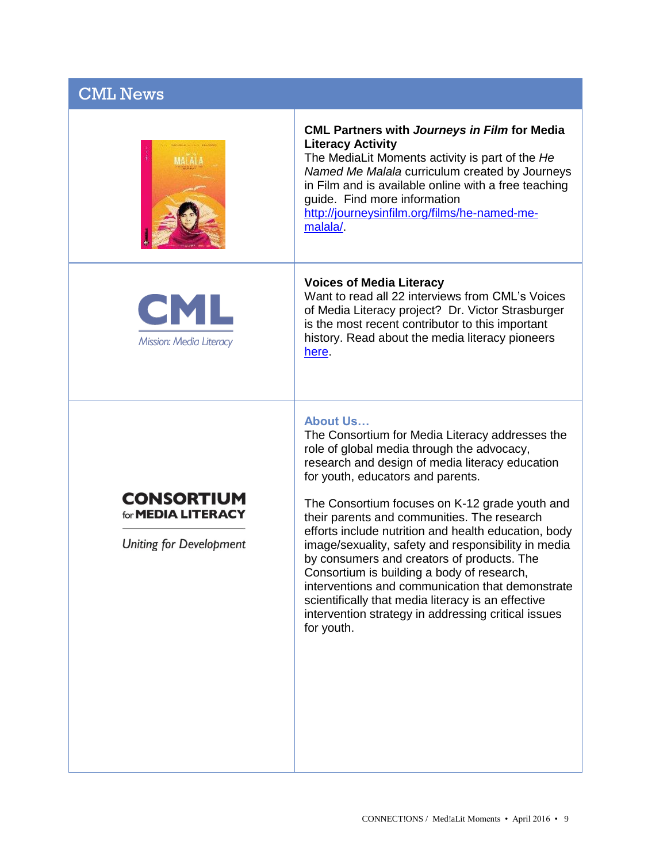| <b>CML News</b>                                                           |                                                                                                                                                                                                                                                                                                                                                                                                                                                                                                                                                                                                                                                                                                     |
|---------------------------------------------------------------------------|-----------------------------------------------------------------------------------------------------------------------------------------------------------------------------------------------------------------------------------------------------------------------------------------------------------------------------------------------------------------------------------------------------------------------------------------------------------------------------------------------------------------------------------------------------------------------------------------------------------------------------------------------------------------------------------------------------|
|                                                                           | <b>CML Partners with Journeys in Film for Media</b><br><b>Literacy Activity</b><br>The MediaLit Moments activity is part of the He<br>Named Me Malala curriculum created by Journeys<br>in Film and is available online with a free teaching<br>guide. Find more information<br>http://journeysinfilm.org/films/he-named-me-<br>malala/                                                                                                                                                                                                                                                                                                                                                             |
| <b>CML</b><br>Mission: Media Literacy                                     | <b>Voices of Media Literacy</b><br>Want to read all 22 interviews from CML's Voices<br>of Media Literacy project? Dr. Victor Strasburger<br>is the most recent contributor to this important<br>history. Read about the media literacy pioneers<br>here                                                                                                                                                                                                                                                                                                                                                                                                                                             |
| <b>CONSORTIUM</b><br>for <b>MEDIA LITERACY</b><br>Uniting for Development | <b>About Us</b><br>The Consortium for Media Literacy addresses the<br>role of global media through the advocacy,<br>research and design of media literacy education<br>for youth, educators and parents.<br>The Consortium focuses on K-12 grade youth and<br>their parents and communities. The research<br>efforts include nutrition and health education, body<br>image/sexuality, safety and responsibility in media<br>by consumers and creators of products. The<br>Consortium is building a body of research,<br>interventions and communication that demonstrate<br>scientifically that media literacy is an effective<br>intervention strategy in addressing critical issues<br>for youth. |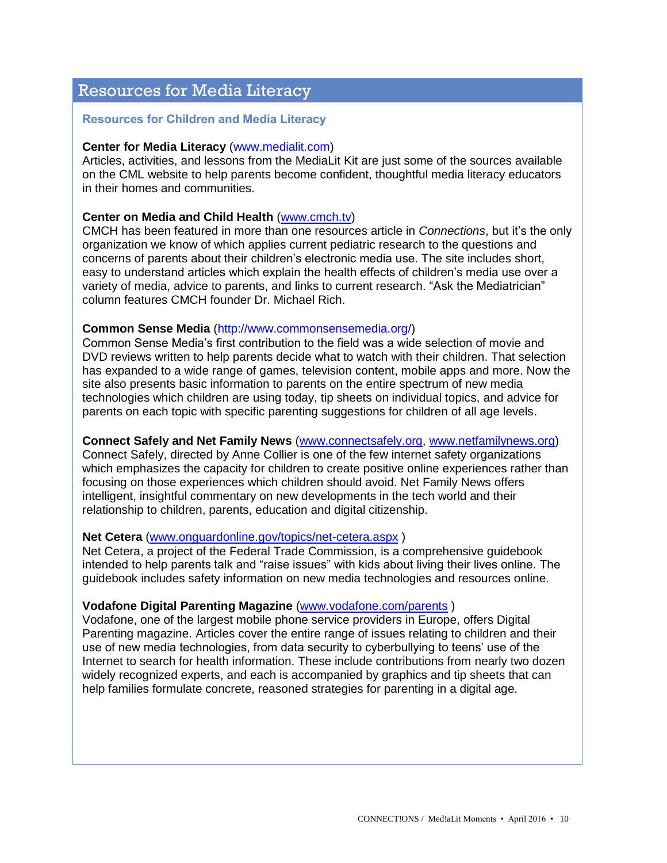## Resources for Media Literacy

#### **Resources for Children and Media Literacy**

#### **Center for Media Literacy** (www.medialit.com)

Articles, activities, and lessons from the MediaLit Kit are just some of the sources available on the CML website to help parents become confident, thoughtful media literacy educators in their homes and communities.

#### **Center on Media and Child Health** [\(www.cmch.tv\)](http://www.cmch.tv/)

CMCH has been featured in more than one resources article in *Connections*, but it's the only organization we know of which applies current pediatric research to the questions and concerns of parents about their children's electronic media use. The site includes short, easy to understand articles which explain the health effects of children's media use over a variety of media, advice to parents, and links to current research. "Ask the Mediatrician" column features CMCH founder Dr. Michael Rich.

#### **Common Sense Media** (http://www.commonsensemedia.org/)

Common Sense Media's first contribution to the field was a wide selection of movie and DVD reviews written to help parents decide what to watch with their children. That selection has expanded to a wide range of games, television content, mobile apps and more. Now the site also presents basic information to parents on the entire spectrum of new media technologies which children are using today, tip sheets on individual topics, and advice for parents on each topic with specific parenting suggestions for children of all age levels.

#### **Connect Safely and Net Family News** [\(www.connectsafely.org,](http://www.connectsafely.org/) [www.netfamilynews.org\)](http://www.netfamilynews.org/)

Connect Safely, directed by Anne Collier is one of the few internet safety organizations which emphasizes the capacity for children to create positive online experiences rather than focusing on those experiences which children should avoid. Net Family News offers intelligent, insightful commentary on new developments in the tech world and their relationship to children, parents, education and digital citizenship.

#### **Net Cetera** [\(www.onguardonline.gov/topics/net-cetera.aspx](http://www.onguardonline.gov/topics/net-cetera.aspx) )

Net Cetera, a project of the Federal Trade Commission, is a comprehensive guidebook intended to help parents talk and "raise issues" with kids about living their lives online. The guidebook includes safety information on new media technologies and resources online.

#### **Vodafone Digital Parenting Magazine** [\(www.vodafone.com/parents](http://www.vodafone.com/parents) )

Vodafone, one of the largest mobile phone service providers in Europe, offers Digital Parenting magazine. Articles cover the entire range of issues relating to children and their use of new media technologies, from data security to cyberbullying to teens' use of the Internet to search for health information. These include contributions from nearly two dozen widely recognized experts, and each is accompanied by graphics and tip sheets that can help families formulate concrete, reasoned strategies for parenting in a digital age.